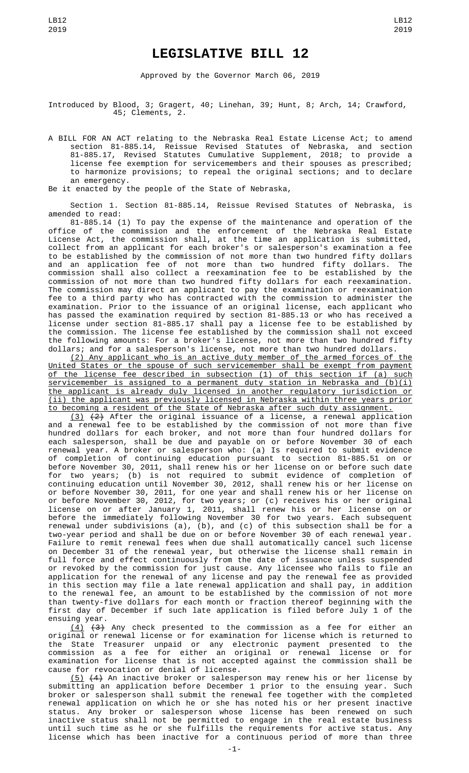## **LEGISLATIVE BILL 12**

Approved by the Governor March 06, 2019

Introduced by Blood, 3; Gragert, 40; Linehan, 39; Hunt, 8; Arch, 14; Crawford, 45; Clements, 2.

A BILL FOR AN ACT relating to the Nebraska Real Estate License Act; to amend section 81-885.14, Reissue Revised Statutes of Nebraska, and section 81-885.17, Revised Statutes Cumulative Supplement, 2018; to provide a license fee exemption for servicemembers and their spouses as prescribed; to harmonize provisions; to repeal the original sections; and to declare an emergency.

Be it enacted by the people of the State of Nebraska,

Section 1. Section 81-885.14, Reissue Revised Statutes of Nebraska, is amended to read:

81-885.14 (1) To pay the expense of the maintenance and operation of the office of the commission and the enforcement of the Nebraska Real Estate License Act, the commission shall, at the time an application is submitted, collect from an applicant for each broker's or salesperson's examination a fee to be established by the commission of not more than two hundred fifty dollars and an application fee of not more than two hundred fifty dollars. The commission shall also collect a reexamination fee to be established by the commission of not more than two hundred fifty dollars for each reexamination. The commission may direct an applicant to pay the examination or reexamination fee to a third party who has contracted with the commission to administer the examination. Prior to the issuance of an original license, each applicant who has passed the examination required by section 81-885.13 or who has received a license under section 81-885.17 shall pay a license fee to be established by the commission. The license fee established by the commission shall not exceed the following amounts: For a broker's license, not more than two hundred fifty dollars; and for a salesperson's license, not more than two hundred dollars.

(2) Any applicant who is an active duty member of the armed forces of the United States or the spouse of such servicemember shall be exempt from payment of the license fee described in subsection (1) of this section if (a) such servicemember is assigned to a permanent duty station in Nebraska and (b)(i) the applicant is already duly licensed in another regulatory jurisdiction or (ii) the applicant was previously licensed in Nebraska within three years prior to becoming a resident of the State of Nebraska after such duty assignment.

 $(3)$   $(2)$  After the original issuance of a license, a renewal application and a renewal fee to be established by the commission of not more than five hundred dollars for each broker, and not more than four hundred dollars for each salesperson, shall be due and payable on or before November 30 of each renewal year. A broker or salesperson who: (a) Is required to submit evidence of completion of continuing education pursuant to section 81-885.51 on or before November 30, 2011, shall renew his or her license on or before such date for two years; (b) is not required to submit evidence of completion of continuing education until November 30, 2012, shall renew his or her license on or before November 30, 2011, for one year and shall renew his or her license on or before November 30, 2012, for two years; or (c) receives his or her original license on or after January 1, 2011, shall renew his or her license on or before the immediately following November 30 for two years. Each subsequent renewal under subdivisions (a), (b), and (c) of this subsection shall be for a two-year period and shall be due on or before November 30 of each renewal year. Failure to remit renewal fees when due shall automatically cancel such license on December 31 of the renewal year, but otherwise the license shall remain in full force and effect continuously from the date of issuance unless suspended or revoked by the commission for just cause. Any licensee who fails to file an application for the renewal of any license and pay the renewal fee as provided in this section may file a late renewal application and shall pay, in addition to the renewal fee, an amount to be established by the commission of not more than twenty-five dollars for each month or fraction thereof beginning with the first day of December if such late application is filed before July 1 of the ensuing year.

 $(4)$   $(3)$  Any check presented to the commission as a fee for either an original or renewal license or for examination for license which is returned to the State Treasurer unpaid or any electronic payment presented to the commission as a fee for either an original or renewal license or for examination for license that is not accepted against the commission shall be cause for revocation or denial of license.

(5) (4) An inactive broker or salesperson may renew his or her license by submitting an application before December 1 prior to the ensuing year. Such broker or salesperson shall submit the renewal fee together with the completed renewal application on which he or she has noted his or her present inactive status. Any broker or salesperson whose license has been renewed on such inactive status shall not be permitted to engage in the real estate business until such time as he or she fulfills the requirements for active status. Any license which has been inactive for a continuous period of more than three